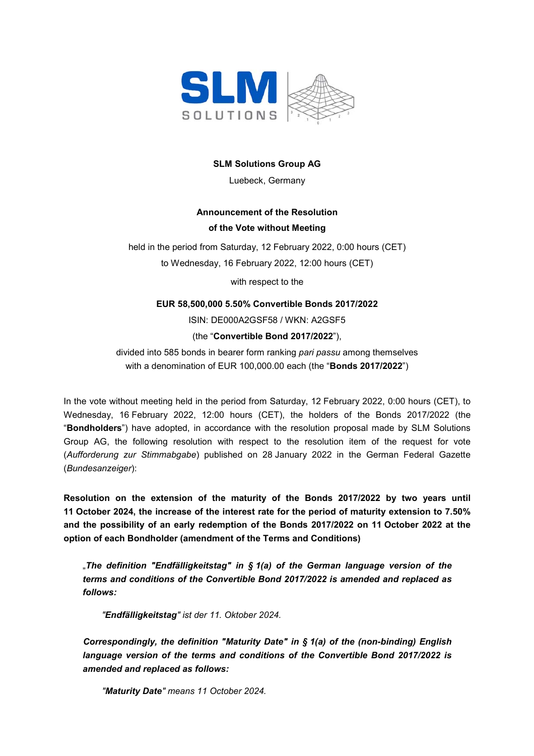

### **SLM Solutions Group AG**

Luebeck, Germany

# **Announcement of the Resolution of the Vote without Meeting**

held in the period from Saturday, 12 February 2022, 0:00 hours (CET) to Wednesday, 16 February 2022, 12:00 hours (CET)

with respect to the

# **EUR 58,500,000 5.50% Convertible Bonds 2017/2022**

ISIN: DE000A2GSF58 / WKN: A2GSF5

(the "**Convertible Bond 2017/2022**"),

divided into 585 bonds in bearer form ranking *pari passu* among themselves with a denomination of EUR 100,000.00 each (the "**Bonds 2017/2022**")

In the vote without meeting held in the period from Saturday, 12 February 2022, 0:00 hours (CET), to Wednesday, 16 February 2022, 12:00 hours (CET), the holders of the Bonds 2017/2022 (the "**Bondholders**") have adopted, in accordance with the resolution proposal made by SLM Solutions Group AG, the following resolution with respect to the resolution item of the request for vote (*Aufforderung zur Stimmabgabe*) published on 28 January 2022 in the German Federal Gazette (*Bundesanzeiger*):

**Resolution on the extension of the maturity of the Bonds 2017/2022 by two years until 11 October 2024, the increase of the interest rate for the period of maturity extension to 7.50% and the possibility of an early redemption of the Bonds 2017/2022 on 11 October 2022 at the option of each Bondholder (amendment of the Terms and Conditions)** 

"*The definition "Endfälligkeitstag" in § 1(a) of the German language version of the terms and conditions of the Convertible Bond 2017/2022 is amended and replaced as follows:* 

*"Endfälligkeitstag" ist der 11. Oktober 2024.* 

*Correspondingly, the definition "Maturity Date" in § 1(a) of the (non-binding) English language version of the terms and conditions of the Convertible Bond 2017/2022 is amended and replaced as follows:* 

*"Maturity Date" means 11 October 2024.*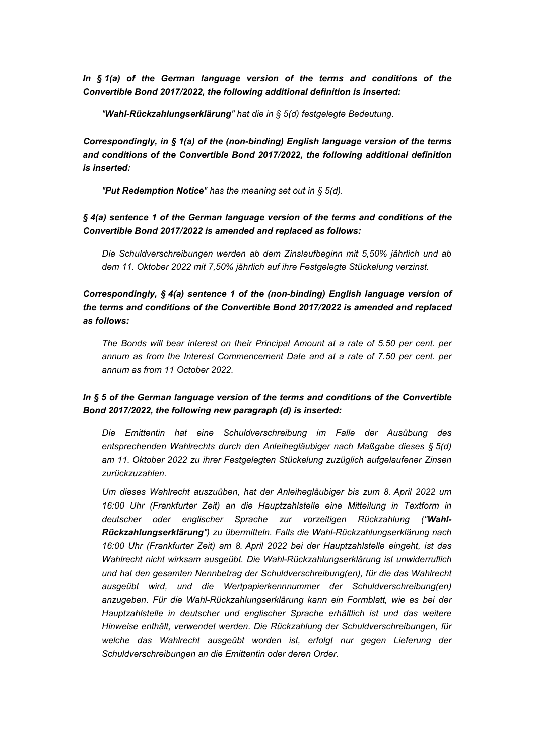*In § 1(a) of the German language version of the terms and conditions of the Convertible Bond 2017/2022, the following additional definition is inserted:* 

*"Wahl-Rückzahlungserklärung" hat die in § 5(d) festgelegte Bedeutung.* 

*Correspondingly, in § 1(a) of the (non-binding) English language version of the terms and conditions of the Convertible Bond 2017/2022, the following additional definition is inserted:* 

*"Put Redemption Notice" has the meaning set out in § 5(d).* 

*§ 4(a) sentence 1 of the German language version of the terms and conditions of the Convertible Bond 2017/2022 is amended and replaced as follows:* 

*Die Schuldverschreibungen werden ab dem Zinslaufbeginn mit 5,50% jährlich und ab dem 11. Oktober 2022 mit 7,50% jährlich auf ihre Festgelegte Stückelung verzinst.* 

*Correspondingly, § 4(a) sentence 1 of the (non-binding) English language version of the terms and conditions of the Convertible Bond 2017/2022 is amended and replaced as follows:* 

*The Bonds will bear interest on their Principal Amount at a rate of 5.50 per cent. per annum as from the Interest Commencement Date and at a rate of 7.50 per cent. per annum as from 11 October 2022.* 

# *In § 5 of the German language version of the terms and conditions of the Convertible Bond 2017/2022, the following new paragraph (d) is inserted:*

*Die Emittentin hat eine Schuldverschreibung im Falle der Ausübung des entsprechenden Wahlrechts durch den Anleihegläubiger nach Maßgabe dieses § 5(d) am 11. Oktober 2022 zu ihrer Festgelegten Stückelung zuzüglich aufgelaufener Zinsen zurückzuzahlen.* 

*Um dieses Wahlrecht auszuüben, hat der Anleihegläubiger bis zum 8. April 2022 um 16:00 Uhr (Frankfurter Zeit) an die Hauptzahlstelle eine Mitteilung in Textform in deutscher oder englischer Sprache zur vorzeitigen Rückzahlung ("Wahl-Rückzahlungserklärung") zu übermitteln. Falls die Wahl-Rückzahlungserklärung nach 16:00 Uhr (Frankfurter Zeit) am 8. April 2022 bei der Hauptzahlstelle eingeht, ist das Wahlrecht nicht wirksam ausgeübt. Die Wahl-Rückzahlungserklärung ist unwiderruflich und hat den gesamten Nennbetrag der Schuldverschreibung(en), für die das Wahlrecht ausgeübt wird, und die Wertpapierkennnummer der Schuldverschreibung(en) anzugeben. Für die Wahl-Rückzahlungserklärung kann ein Formblatt, wie es bei der Hauptzahlstelle in deutscher und englischer Sprache erhältlich ist und das weitere Hinweise enthält, verwendet werden. Die Rückzahlung der Schuldverschreibungen, für welche das Wahlrecht ausgeübt worden ist, erfolgt nur gegen Lieferung der Schuldverschreibungen an die Emittentin oder deren Order.*